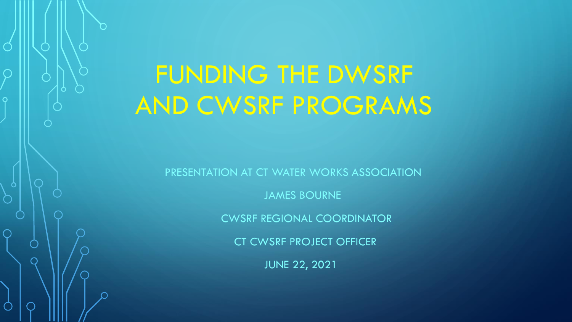# FUNDING THE DWSRF AND CWSRF PROGRAMS

Ō

PRESENTATION AT CT WATER WORKS ASSOCIATION

JAMES BOURNE

CWSRF REGIONAL COORDINATOR

CT CWSRF PROJECT OFFICER

JUNE 22, 2021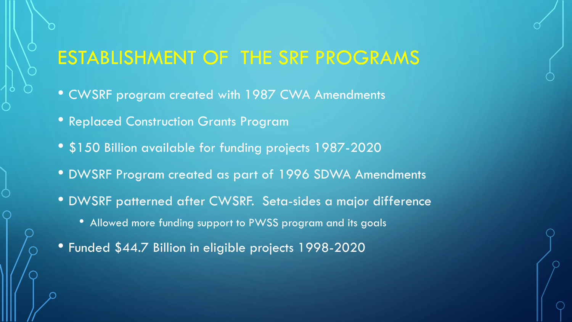### ESTABLISHMENT OF THE SRF PROGRAMS

- CWSRF program created with 1987 CWA Amendments
- Replaced Construction Grants Program
- \$150 Billion available for funding projects 1987-2020
- DWSRF Program created as part of 1996 SDWA Amendments
- DWSRF patterned after CWSRF. Seta-sides a major difference
	- Allowed more funding support to PWSS program and its goals
- Funded \$44.7 Billion in eligible projects 1998-2020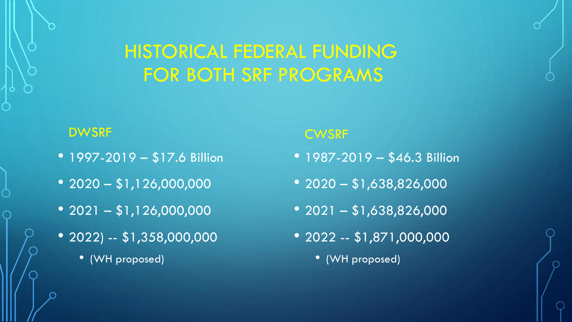### HISTORICAL FEDERAL FUNDING FOR BOTH SRF PROGRAMS

#### DWSRF

- 1997-2019 \$17.6 Billion
- $2020 $1,126,000,000$
- $2021 $1,126,000,000$
- 2022) -- \$1,358,000,000
	- (WH proposed)

#### **CWSRF**

- 1987-2019 \$46.3 Billion
- $2020 $1,638,826,000$
- $2021 $1,638,826,000$
- 2022 -- \$1,871,000,000
	- (WH proposed)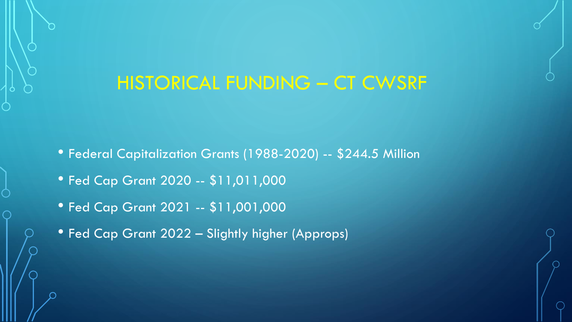#### HISTORICAL FUNDING – CT CWSRF

- Federal Capitalization Grants (1988-2020) -- \$244.5 Million
- Fed Cap Grant 2020 -- \$11,011,000
- Fed Cap Grant 2021 -- \$11,001,000
- Fed Cap Grant 2022 Slightly higher (Approps)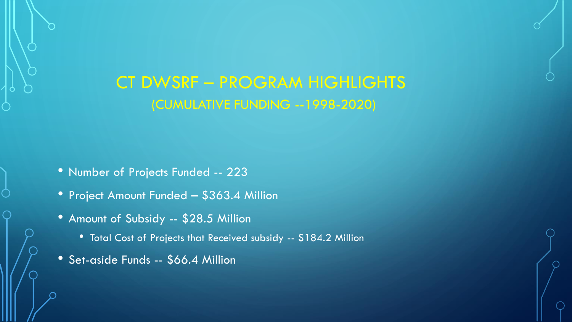#### CT DWSRF – PROGRAM HIGHLIGHTS (CUMULATIVE FUNDING --1998-2020)

- Number of Projects Funded -- 223
- Project Amount Funded \$363.4 Million
- Amount of Subsidy -- \$28.5 Million
	- Total Cost of Projects that Received subsidy -- \$184.2 Million
- Set-aside Funds -- \$66.4 Million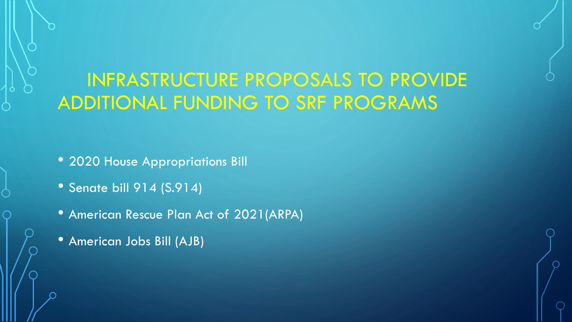# INFRASTRUCTURE PROPOSALS TO PROVIDE ADDITIONAL FUNDING TO SRF PROGRAMS

• 2020 House Appropriations Bill

- Senate bill 914 (S.914)
- American Rescue Plan Act of 2021(ARPA)
- American Jobs Bill (AJB)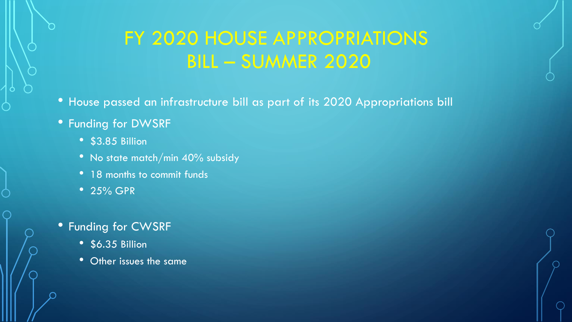# FY 2020 HOUSE APPROPRIATIONS BILL – SUMMER 2020

- House passed an infrastructure bill as part of its 2020 Appropriations bill
- Funding for DWSRF
	- \$3.85 Billion
	- No state match/min 40% subsidy
	- 18 months to commit funds
	- 25% GPR

#### • Funding for CWSRF

- \$6.35 Billion
- Other issues the same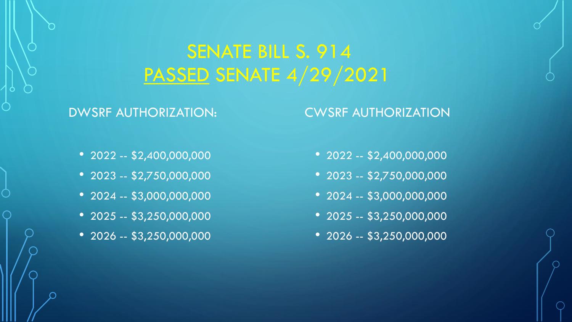### SENATE BILL S. 914 PASSED SENATE 4/29/2021

#### DWSRF AUTHORIZATION:

#### CWSRF AUTHORIZATION

- 2022 -- \$2,400,000,000
- $2023 $2,750,000,000$
- 2024 -- \$3,000,000,000
- $2025 $3,250,000,000$
- $2026 $3,250,000,000$
- 2022 -- \$2,400,000,000
- 2023 -- \$2,750,000,000
- 2024 -- \$3,000,000,000
- 2025 -- \$3,250,000,000
- 2026 -- \$3,250,000,000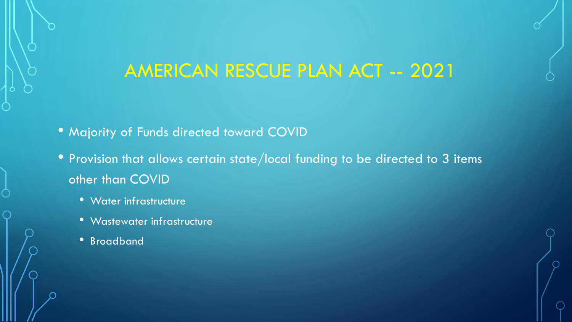### AMERICAN RESCUE PLAN ACT -- 2021

- Majority of Funds directed toward COVID
- Provision that allows certain state/local funding to be directed to 3 items other than COVID
	- Water infrastructure
	- Wastewater infrastructure
	- Broadband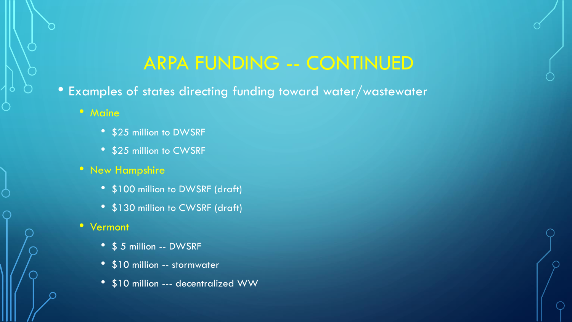### ARPA FUNDING -- CONTINUED

- Examples of states directing funding toward water/wastewater
	- Maine
		- \$25 million to DWSRF
		- \$25 million to CWSRF
	- New Hampshire
		- \$100 million to DWSRF (draft)
		- \$130 million to CWSRF (draft)
	- Vermont
		- \$ 5 million -- DWSRF
		- \$10 million -- stormwater
		- \$10 million --- decentralized WW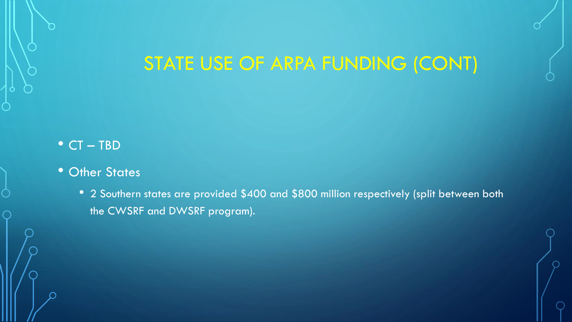## STATE USE OF ARPA FUNDING (CONT)

#### • CT – TBD

- Other States
	- 2 Southern states are provided \$400 and \$800 million respectively (split between both the CWSRF and DWSRF program).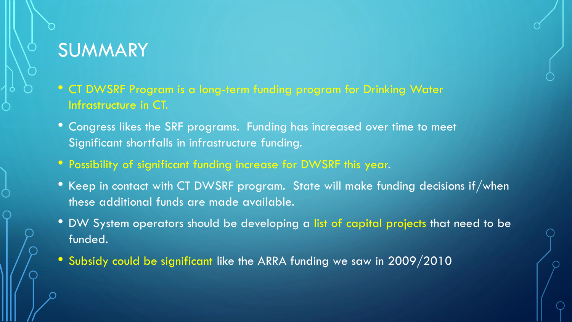# SUMMARY

- CT DWSRF Program is a long-term funding program for Drinking Water Infrastructure in CT.
- Congress likes the SRF programs. Funding has increased over time to meet Significant shortfalls in infrastructure funding.
- Possibility of significant funding increase for DWSRF this year.
- Keep in contact with CT DWSRF program. State will make funding decisions if/when these additional funds are made available.
- DW System operators should be developing a list of capital projects that need to be funded.
- Subsidy could be significant like the ARRA funding we saw in 2009/2010